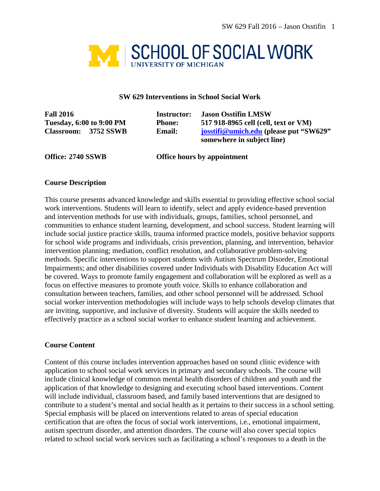

#### **SW 629 Interventions in School Social Work**

| <b>Fall 2016</b><br><b>Tuesday, 6:00 to 9:00 PM</b> |                            | Instructor:   | <b>Jason Osstifin LMSW</b><br>517 918-8965 cell (cell, text or VM) |  |
|-----------------------------------------------------|----------------------------|---------------|--------------------------------------------------------------------|--|
|                                                     |                            | <b>Phone:</b> |                                                                    |  |
| <b>Classroom:</b>                                   | 3752 SSWB<br><b>Email:</b> |               | josstifi@umich.edu (please put "SW629"                             |  |
|                                                     |                            |               | somewhere in subject line                                          |  |

**Office: 2740 SSWB Office hours by appointment**

#### **Course Description**

This course presents advanced knowledge and skills essential to providing effective school social work interventions. Students will learn to identify, select and apply evidence-based prevention and intervention methods for use with individuals, groups, families, school personnel, and communities to enhance student learning, development, and school success. Student learning will include social justice practice skills, trauma informed practice models, positive behavior supports for school wide programs and individuals, crisis prevention, planning, and intervention, behavior intervention planning; mediation, conflict resolution, and collaborative problem-solving methods. Specific interventions to support students with Autism Spectrum Disorder, Emotional Impairments; and other disabilities covered under Individuals with Disability Education Act will be covered. Ways to promote family engagement and collaboration will be explored as well as a focus on effective measures to promote youth voice. Skills to enhance collaboration and consultation between teachers, families, and other school personnel will be addressed. School social worker intervention methodologies will include ways to help schools develop climates that are inviting, supportive, and inclusive of diversity. Students will acquire the skills needed to effectively practice as a school social worker to enhance student learning and achievement.

#### **Course Content**

Content of this course includes intervention approaches based on sound clinic evidence with application to school social work services in primary and secondary schools. The course will include clinical knowledge of common mental health disorders of children and youth and the application of that knowledge to designing and executing school based interventions. Content will include individual, classroom based, and family based interventions that are designed to contribute to a student's mental and social health as it pertains to their success in a school setting. Special emphasis will be placed on interventions related to areas of special education certification that are often the focus of social work interventions, i.e., emotional impairment, autism spectrum disorder, and attention disorders. The course will also cover special topics related to school social work services such as facilitating a school's responses to a death in the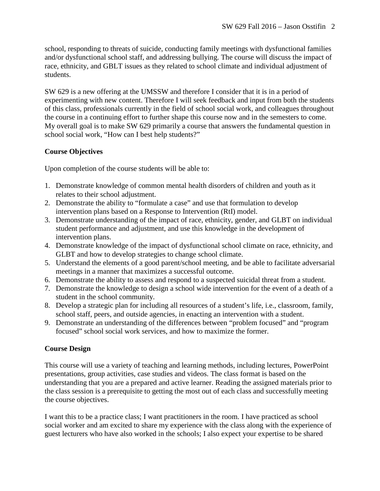school, responding to threats of suicide, conducting family meetings with dysfunctional families and/or dysfunctional school staff, and addressing bullying. The course will discuss the impact of race, ethnicity, and GBLT issues as they related to school climate and individual adjustment of students.

SW 629 is a new offering at the UMSSW and therefore I consider that it is in a period of experimenting with new content. Therefore I will seek feedback and input from both the students of this class, professionals currently in the field of school social work, and colleagues throughout the course in a continuing effort to further shape this course now and in the semesters to come. My overall goal is to make SW 629 primarily a course that answers the fundamental question in school social work, "How can I best help students?"

# **Course Objectives**

Upon completion of the course students will be able to:

- 1. Demonstrate knowledge of common mental health disorders of children and youth as it relates to their school adjustment.
- 2. Demonstrate the ability to "formulate a case" and use that formulation to develop intervention plans based on a Response to Intervention (RtI) model.
- 3. Demonstrate understanding of the impact of race, ethnicity, gender, and GLBT on individual student performance and adjustment, and use this knowledge in the development of intervention plans.
- 4. Demonstrate knowledge of the impact of dysfunctional school climate on race, ethnicity, and GLBT and how to develop strategies to change school climate.
- 5. Understand the elements of a good parent/school meeting, and be able to facilitate adversarial meetings in a manner that maximizes a successful outcome.
- 6. Demonstrate the ability to assess and respond to a suspected suicidal threat from a student.
- 7. Demonstrate the knowledge to design a school wide intervention for the event of a death of a student in the school community.
- 8. Develop a strategic plan for including all resources of a student's life, i.e., classroom, family, school staff, peers, and outside agencies, in enacting an intervention with a student.
- 9. Demonstrate an understanding of the differences between "problem focused" and "program focused" school social work services, and how to maximize the former.

# **Course Design**

This course will use a variety of teaching and learning methods, including lectures, PowerPoint presentations, group activities, case studies and videos. The class format is based on the understanding that you are a prepared and active learner. Reading the assigned materials prior to the class session is a prerequisite to getting the most out of each class and successfully meeting the course objectives.

I want this to be a practice class; I want practitioners in the room. I have practiced as school social worker and am excited to share my experience with the class along with the experience of guest lecturers who have also worked in the schools; I also expect your expertise to be shared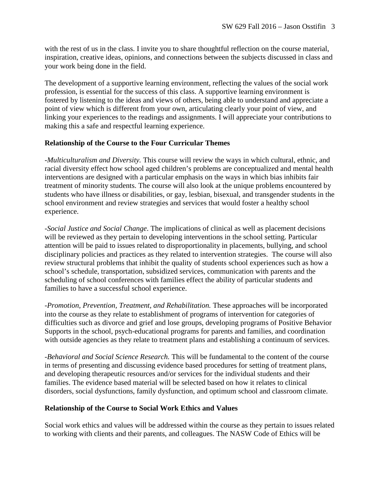with the rest of us in the class. I invite you to share thoughtful reflection on the course material, inspiration, creative ideas, opinions, and connections between the subjects discussed in class and your work being done in the field.

The development of a supportive learning environment, reflecting the values of the social work profession, is essential for the success of this class. A supportive learning environment is fostered by listening to the ideas and views of others, being able to understand and appreciate a point of view which is different from your own, articulating clearly your point of view, and linking your experiences to the readings and assignments. I will appreciate your contributions to making this a safe and respectful learning experience.

## **Relationship of the Course to the Four Curricular Themes**

-*Multiculturalism and Diversity.* This course will review the ways in which cultural, ethnic, and racial diversity effect how school aged children's problems are conceptualized and mental health interventions are designed with a particular emphasis on the ways in which bias inhibits fair treatment of minority students. The course will also look at the unique problems encountered by students who have illness or disabilities, or gay, lesbian, bisexual, and transgender students in the school environment and review strategies and services that would foster a healthy school experience.

-*Social Justice and Social Change*. The implications of clinical as well as placement decisions will be reviewed as they pertain to developing interventions in the school setting. Particular attention will be paid to issues related to disproportionality in placements, bullying, and school disciplinary policies and practices as they related to intervention strategies. The course will also review structural problems that inhibit the quality of students school experiences such as how a school's schedule, transportation, subsidized services, communication with parents and the scheduling of school conferences with families effect the ability of particular students and families to have a successful school experience.

-*Promotion, Prevention, Treatment, and Rehabilitation.* These approaches will be incorporated into the course as they relate to establishment of programs of intervention for categories of difficulties such as divorce and grief and lose groups, developing programs of Positive Behavior Supports in the school, psych-educational programs for parents and families, and coordination with outside agencies as they relate to treatment plans and establishing a continuum of services.

-*Behavioral and Social Science Research.* This will be fundamental to the content of the course in terms of presenting and discussing evidence based procedures for setting of treatment plans, and developing therapeutic resources and/or services for the individual students and their families. The evidence based material will be selected based on how it relates to clinical disorders, social dysfunctions, family dysfunction, and optimum school and classroom climate.

## **Relationship of the Course to Social Work Ethics and Values**

Social work ethics and values will be addressed within the course as they pertain to issues related to working with clients and their parents, and colleagues. The NASW Code of Ethics will be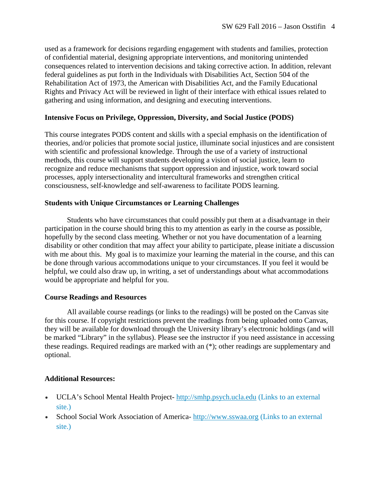used as a framework for decisions regarding engagement with students and families, protection of confidential material, designing appropriate interventions, and monitoring unintended consequences related to intervention decisions and taking corrective action. In addition, relevant federal guidelines as put forth in the Individuals with Disabilities Act, Section 504 of the Rehabilitation Act of 1973, the American with Disabilities Act, and the Family Educational Rights and Privacy Act will be reviewed in light of their interface with ethical issues related to gathering and using information, and designing and executing interventions.

### **Intensive Focus on Privilege, Oppression, Diversity, and Social Justice (PODS)**

This course integrates PODS content and skills with a special emphasis on the identification of theories, and/or policies that promote social justice, illuminate social injustices and are consistent with scientific and professional knowledge. Through the use of a variety of instructional methods, this course will support students developing a vision of social justice, learn to recognize and reduce mechanisms that support oppression and injustice, work toward social processes, apply intersectionality and intercultural frameworks and strengthen critical consciousness, self-knowledge and self-awareness to facilitate PODS learning.

### **Students with Unique Circumstances or Learning Challenges**

Students who have circumstances that could possibly put them at a disadvantage in their participation in the course should bring this to my attention as early in the course as possible, hopefully by the second class meeting. Whether or not you have documentation of a learning disability or other condition that may affect your ability to participate, please initiate a discussion with me about this. My goal is to maximize your learning the material in the course, and this can be done through various accommodations unique to your circumstances. If you feel it would be helpful, we could also draw up, in writing, a set of understandings about what accommodations would be appropriate and helpful for you.

## **Course Readings and Resources**

All available course readings (or links to the readings) will be posted on the Canvas site for this course. If copyright restrictions prevent the readings from being uploaded onto Canvas, they will be available for download through the University library's electronic holdings (and will be marked "Library" in the syllabus). Please see the instructor if you need assistance in accessing these readings. Required readings are marked with an (\*); other readings are supplementary and optional.

## **Additional Resources:**

- UCLA's School Mental Health Project- [http://smhp.psych.ucla.edu](http://smhp.psych.ucla.edu/) (Links to an external [site.\)](http://smhp.psych.ucla.edu/)
- School Social Work Association of America- [http://www.sswaa.org](http://www.sswaa.org/) (Links to an external [site.\)](http://www.sswaa.org/)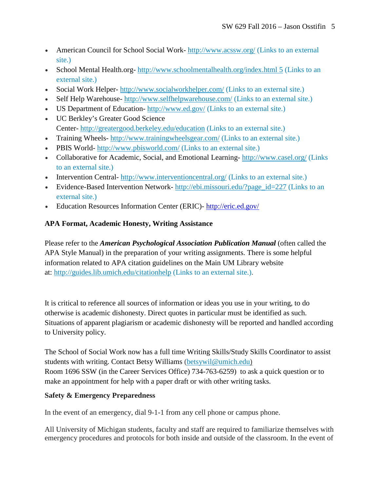- American Council for School Social Work- <http://www.acssw.org/> (Links to an external [site.\)](http://www.acssw.org/)
- School Mental Health.org- [http://www.schoolmentalhealth.org/index.html 5](http://www.schoolmentalhealth.org/index.html%205) (Links to an [external](http://www.schoolmentalhealth.org/index.html%205) site.)
- Social Work Helper- <http://www.socialworkhelper.com/> (Links to an external site.)
- Self Help Warehouse- <http://www.selfhelpwarehouse.com/> (Links to an external site.)
- US Department of Education- <http://www.ed.gov/> (Links to an external site.)
- UC Berkley's Greater Good Science Center- <http://greatergood.berkeley.edu/education> (Links to an external site.)
- Training Wheels- <http://www.trainingwheelsgear.com/> (Links to an external site.)
- PBIS World- <http://www.pbisworld.com/> (Links to an external site.)
- Collaborative for Academic, Social, and Emotional Learning-<http://www.casel.org/> (Links) to an [external](http://www.casel.org/) site.)
- Intervention Central- <http://www.interventioncentral.org/> (Links to an external site.)
- Evidence-Based Intervention Network- [http://ebi.missouri.edu/?page\\_id=227](http://ebi.missouri.edu/?page_id=227) (Links to an [external](http://ebi.missouri.edu/?page_id=227) site.)
- Education Resources Information Center (ERIC)- <http://eric.ed.gov/>

# **APA Format, Academic Honesty, Writing Assistance**

Please refer to the *American Psychological Association Publication Manual* (often called the APA Style Manual) in the preparation of your writing assignments. There is some helpful information related to APA citation guidelines on the Main UM Library website at: <http://guides.lib.umich.edu/citationhelp> (Links to an external site.).

It is critical to reference all sources of information or ideas you use in your writing, to do otherwise is academic dishonesty. Direct quotes in particular must be identified as such. Situations of apparent plagiarism or academic dishonesty will be reported and handled according to University policy.

The School of Social Work now has a full time Writing Skills/Study Skills Coordinator to assist students with writing. Contact Betsy Williams [\(betsywil@umich.edu\)](mailto:betsywil@umich.edu) Room 1696 SSW (in the Career Services Office) 734-763-6259) to ask a quick question or to make an appointment for help with a paper draft or with other writing tasks.

# **Safety & Emergency Preparedness**

In the event of an emergency, dial 9-1-1 from any cell phone or campus phone.

All University of Michigan students, faculty and staff are required to familiarize themselves with emergency procedures and protocols for both inside and outside of the classroom. In the event of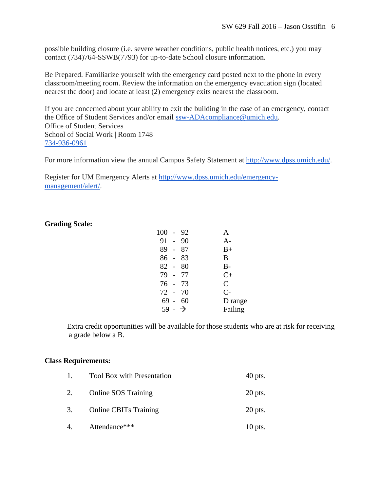possible building closure (i.e. severe weather conditions, public health notices, etc.) you may contact (734)764-SSWB(7793) for up-to-date School closure information.

Be Prepared. Familiarize yourself with the emergency card posted next to the phone in every classroom/meeting room. Review the information on the emergency evacuation sign (located nearest the door) and locate at least (2) emergency exits nearest the classroom.

If you are concerned about your ability to exit the building in the case of an emergency, contact the Office of Student Services and/or email [ssw-ADAcompliance@umich.edu.](mailto:ssw-ADAcompliance@umich.edu) Office of Student Services School of Social Work | Room 1748 [734-936-0961](tel:734-936-0961)

For more information view the annual Campus Safety Statement at [http://www.dpss.umich.edu/.](http://www.dpss.umich.edu/)

Register for UM Emergency Alerts at [http://www.dpss.umich.edu/emergency](http://www.dpss.umich.edu/emergency-management/alert/)[management/alert/.](http://www.dpss.umich.edu/emergency-management/alert/)

### **Grading Scale:**

| $100 -$            |                | 92 |               |
|--------------------|----------------|----|---------------|
| $91 -$             |                | 90 | A-            |
| 89                 | $\overline{a}$ | 87 | $B+$          |
| 86                 |                | 83 | B             |
| $82 - 80$          |                |    | $B-$          |
| 79 -               |                | 77 | $C+$          |
| 76 - 73            |                |    | $\mathcal{C}$ |
| 72 - 70            |                |    | $C-$          |
| 69 -               |                | 60 | D range       |
| $59 - \rightarrow$ |                |    | Failing       |
|                    |                |    |               |

Extra credit opportunities will be available for those students who are at risk for receiving a grade below a B.

#### **Class Requirements:**

| $\mathbf{1}$ . | <b>Tool Box with Presentation</b> | $40$ pts. |
|----------------|-----------------------------------|-----------|
| 2.             | <b>Online SOS Training</b>        | $20$ pts. |
| 3.             | <b>Online CBITs Training</b>      | $20$ pts. |
| 4.             | Attendance***                     | $10$ pts. |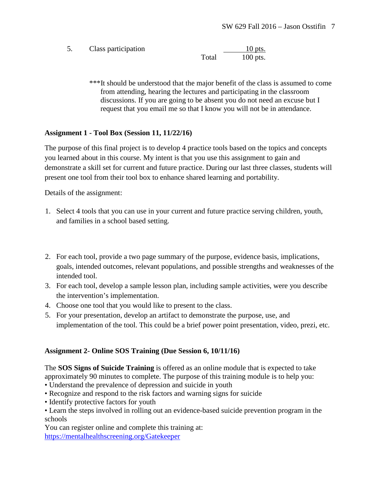5. Class participation 10 pts. Total 100 pts.

> \*\*\*It should be understood that the major benefit of the class is assumed to come from attending, hearing the lectures and participating in the classroom discussions. If you are going to be absent you do not need an excuse but I request that you email me so that I know you will not be in attendance.

# **Assignment 1 - Tool Box (Session 11, 11/22/16)**

The purpose of this final project is to develop 4 practice tools based on the topics and concepts you learned about in this course. My intent is that you use this assignment to gain and demonstrate a skill set for current and future practice. During our last three classes, students will present one tool from their tool box to enhance shared learning and portability.

Details of the assignment:

- 1. Select 4 tools that you can use in your current and future practice serving children, youth, and families in a school based setting.
- 2. For each tool, provide a two page summary of the purpose, evidence basis, implications, goals, intended outcomes, relevant populations, and possible strengths and weaknesses of the intended tool.
- 3. For each tool, develop a sample lesson plan, including sample activities, were you describe the intervention's implementation.
- 4. Choose one tool that you would like to present to the class.
- 5. For your presentation, develop an artifact to demonstrate the purpose, use, and implementation of the tool. This could be a brief power point presentation, video, prezi, etc.

# **Assignment 2- Online SOS Training (Due Session 6, 10/11/16)**

The **SOS Signs of Suicide Training** is offered as an online module that is expected to take approximately 90 minutes to complete. The purpose of this training module is to help you:

- Understand the prevalence of depression and suicide in youth
- Recognize and respond to the risk factors and warning signs for suicide
- Identify protective factors for youth
- Learn the steps involved in rolling out an evidence-based suicide prevention program in the schools

You can register online and complete this training at: <https://mentalhealthscreening.org/Gatekeeper>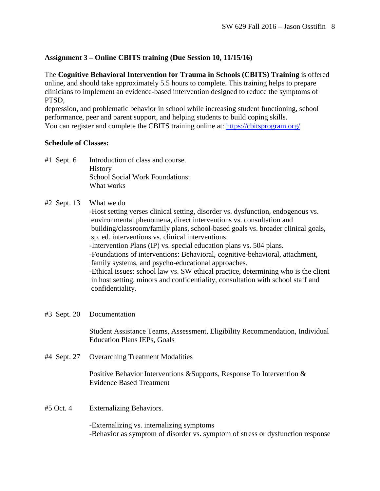# **Assignment 3 – Online CBITS training (Due Session 10, 11/15/16)**

The **Cognitive Behavioral Intervention for Trauma in Schools (CBITS) Training** is offered online, and should take approximately 5.5 hours to complete. This training helps to prepare clinicians to implement an evidence-based intervention designed to reduce the symptoms of PTSD,

depression, and problematic behavior in school while increasing student functioning, school performance, peer and parent support, and helping students to build coping skills. You can register and complete the CBITS training online at:<https://cbitsprogram.org/>

### **Schedule of Classes:**

#1 Sept. 6 Introduction of class and course. **History** School Social Work Foundations: What works

### #2 Sept. 13 What we do

-Host setting verses clinical setting, disorder vs. dysfunction, endogenous vs. environmental phenomena, direct interventions vs. consultation and building/classroom/family plans, school-based goals vs. broader clinical goals, sp. ed. interventions vs. clinical interventions.

-Intervention Plans (IP) vs. special education plans vs. 504 plans.

-Foundations of interventions: Behavioral, cognitive-behavioral, attachment, family systems, and psycho-educational approaches.

-Ethical issues: school law vs. SW ethical practice, determining who is the client in host setting, minors and confidentiality, consultation with school staff and confidentiality.

#### #3 Sept. 20 Documentation

Student Assistance Teams, Assessment, Eligibility Recommendation, Individual Education Plans IEPs, Goals

#4 Sept. 27 Overarching Treatment Modalities

Positive Behavior Interventions &Supports, Response To Intervention & Evidence Based Treatment

#5 Oct. 4 Externalizing Behaviors.

-Externalizing vs. internalizing symptoms -Behavior as symptom of disorder vs. symptom of stress or dysfunction response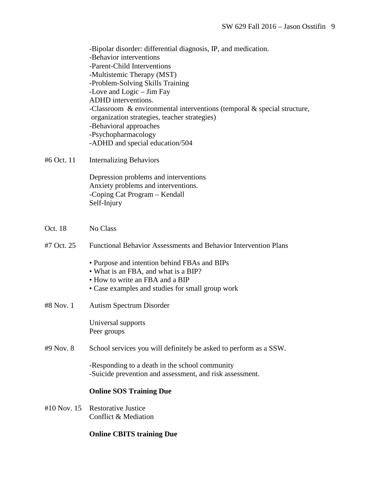-Bipolar disorder: differential diagnosis, IP, and medication. -Behavior interventions -Parent-Child Interventions -Multistemic Therapy (MST) -Problem-Solving Skills Training -Love and Logic – Jim Fay ADHD interventions. -Classroom & environmental interventions (temporal & special structure, organization strategies, teacher strategies) -Behavioral approaches -Psychopharmacology -ADHD and special education/504

#6 Oct. 11 Internalizing Behaviors

Depression problems and interventions Anxiety problems and interventions. -Coping Cat Program – Kendall Self-Injury

- Oct. 18 No Class
- #7 Oct. 25 Functional Behavior Assessments and Behavior Intervention Plans
	- Purpose and intention behind FBAs and BIPs
	- What is an FBA, and what is a BIP?
	- How to write an FBA and a BIP
	- Case examples and studies for small group work
- #8 Nov. 1 Autism Spectrum Disorder

Universal supports Peer groups

#9 Nov. 8 School services you will definitely be asked to perform as a SSW.

-Responding to a death in the school community -Suicide prevention and assessment, and risk assessment.

#### **Online SOS Training Due**

#10 Nov. 15 Restorative Justice Conflict & Mediation

#### **Online CBITS training Due**